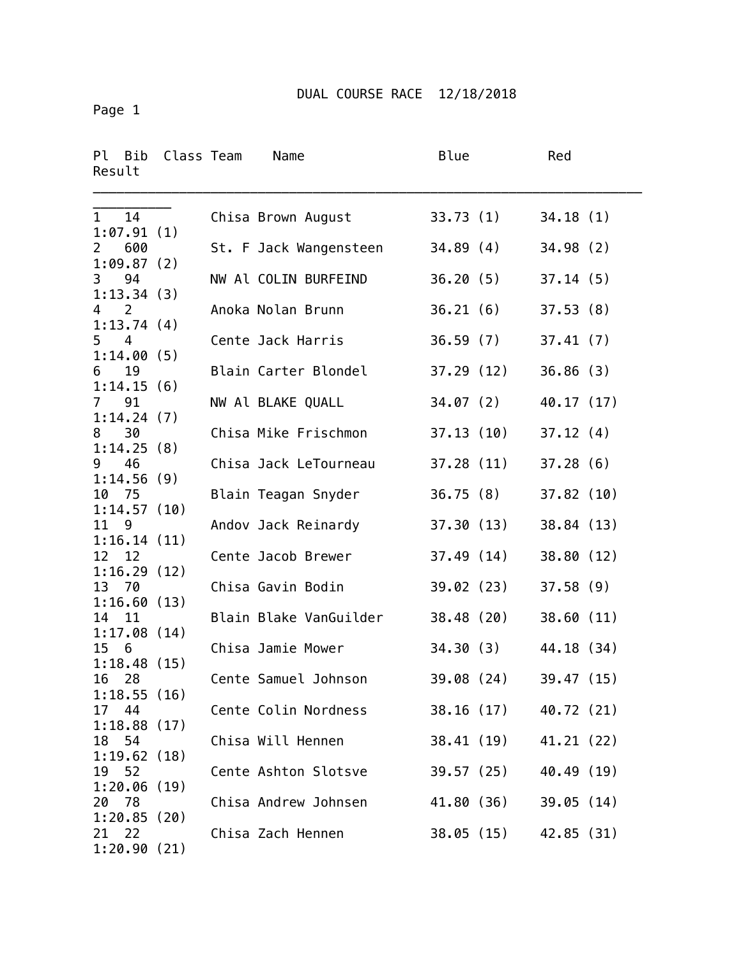Page 1

| Ρl<br>Bib<br>Result                 | Class Team | Name                                         | Blue      |            | Red                      |  |
|-------------------------------------|------------|----------------------------------------------|-----------|------------|--------------------------|--|
| 14<br>$\mathbf{1}$<br>1:07.91(1)    |            | Chisa Brown August                           |           | 33.73 (1)  | 34.18(1)                 |  |
| 600<br>$\mathbf{2}$<br>1:09.87(2)   |            | St. F Jack Wangensteen                       | 34.89(4)  |            | 34.98(2)                 |  |
| 94<br>3<br>1:13.34(3)               |            | NW Al COLIN BURFEIND                         | 36.20(5)  |            | 37.14(5)                 |  |
| 4 2<br>1:13.74(4)                   |            | Anoka Nolan Brunn                            | 36.21(6)  |            | 37.53(8)                 |  |
| 5 <sub>4</sub><br>1:14.00(5)        |            | Cente Jack Harris                            | 36.59(7)  |            | 37.41(7)                 |  |
| 19<br>6<br>1:14.15(6)               |            | Blain Carter Blondel                         |           | 37.29 (12) | 36.86(3)                 |  |
| 91<br>$7^{\circ}$<br>1:14.24(7)     |            | NW Al BLAKE QUALL                            |           | 34.07(2)   | 40.17 (17)               |  |
| 30<br>8<br>1:14.25(8)               |            | Chisa Mike Frischmon                         |           | 37.13(10)  | 37.12(4)                 |  |
| 46<br>9<br>1:14.56(9)               |            | Chisa Jack LeTourneau                        |           | 37.28 (11) | 37.28(6)                 |  |
| 10 75<br>1:14.57(10)                |            | Blain Teagan Snyder                          | 36.75(8)  |            | 37.82(10)                |  |
| 11<br>9<br>1:16.14(11)              |            | Andov Jack Reinardy                          | 37.30(13) |            | 38.84 (13)               |  |
| 12<br>12<br>1:16.29(12)             |            | Cente Jacob Brewer                           | 37.49(14) |            | 38.80 (12)               |  |
| 13 70<br>1:16.60(13)                |            | Chisa Gavin Bodin                            | 39.02(23) |            | 37.58(9)                 |  |
| 14<br>11<br>1:17.08(14)             |            | Blain Blake VanGuilder                       |           | 38.48 (20) | 38.60(11)                |  |
| 15<br>6<br>1:18.48(15)              |            | Chisa Jamie Mower                            | 34.30 (3) |            | 44.18 (34)               |  |
| 16<br>28<br>1:18.55(16)<br>44<br>17 |            | Cente Samuel Johnson<br>Cente Colin Nordness | 39.08(24) | 38.16 (17) | 39.47 (15)               |  |
| 1:18.88(17)<br>18 54                |            | Chisa Will Hennen                            |           | 38.41 (19) | 40.72 (21)<br>41.21 (22) |  |
| 1:19.62(18)<br>52<br>19             |            | Cente Ashton Slotsve                         |           | 39.57 (25) | 40.49 (19)               |  |
| 1:20.06(19)<br>-78<br>20            |            | Chisa Andrew Johnsen                         |           | 41.80 (36) | 39.05(14)                |  |
| 1:20.85(20)<br>22<br>21             |            | Chisa Zach Hennen                            |           | 38.05(15)  | 42.85 (31)               |  |
| 1:20.90(21)                         |            |                                              |           |            |                          |  |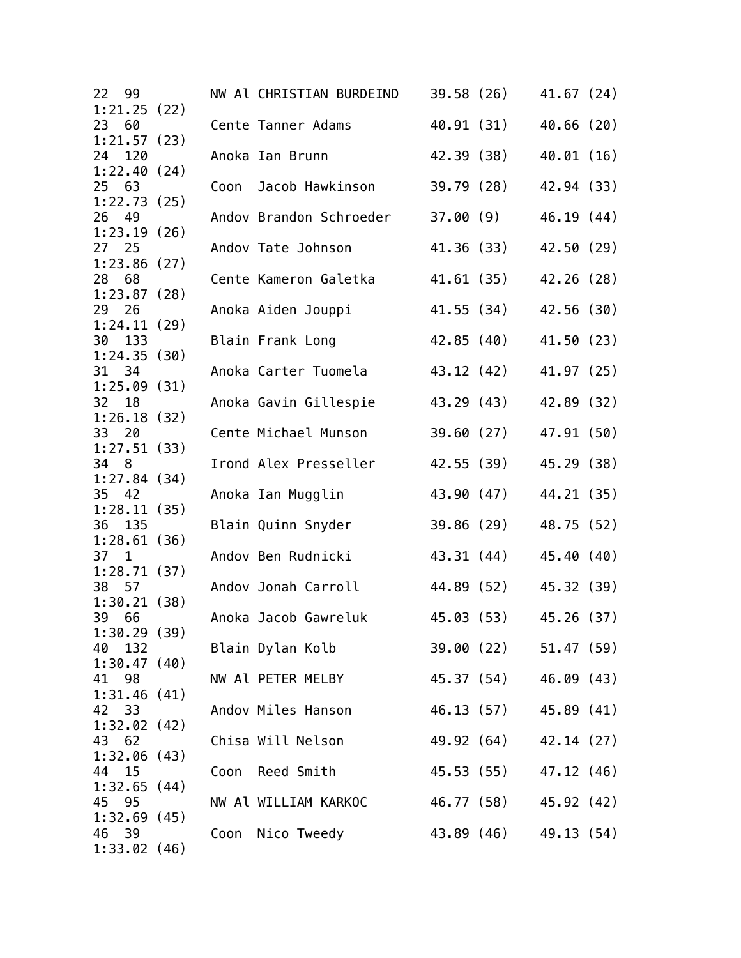| 22<br>99     |      | NW Al CHRISTIAN BURDEIND | 39.58 (26) |                       | 41.67(24)  |  |
|--------------|------|--------------------------|------------|-----------------------|------------|--|
| 1:21.25(22)  |      |                          |            |                       |            |  |
| 23<br>60     |      | Cente Tanner Adams       | 40.91 (31) |                       | 40.66 (20) |  |
| 1:21.57(23)  |      |                          |            |                       |            |  |
| 24 120       |      | Anoka Ian Brunn          | 42.39 (38) |                       | 40.01 (16) |  |
| 1:22.40(24)  |      |                          |            |                       |            |  |
| 25 63        | Coon | Jacob Hawkinson          | 39.79 (28) |                       | 42.94 (33) |  |
| 1:22.73(25)  |      |                          |            |                       |            |  |
| 26<br>49     |      | Andov Brandon Schroeder  | 37.00(9)   |                       | 46.19 (44) |  |
| 1:23.19(26)  |      |                          |            |                       |            |  |
| 27<br>25     |      | Andov Tate Johnson       | 41.36 (33) |                       | 42.50 (29) |  |
| 1:23.86(27)  |      |                          |            |                       |            |  |
| 28 68        |      | Cente Kameron Galetka    | 41.61 (35) |                       | 42.26 (28) |  |
| 1:23.87(28)  |      |                          |            |                       |            |  |
| 29 26        |      | Anoka Aiden Jouppi       |            | 41.55 (34)            | 42.56 (30) |  |
| 1:24.11(29)  |      |                          |            |                       |            |  |
| 30<br>133    |      | Blain Frank Long         |            | 42.85 (40)            | 41.50 (23) |  |
| 1:24.35(30)  |      |                          |            |                       |            |  |
| 31<br>34     |      | Anoka Carter Tuomela     |            | 43.12 (42)            | 41.97 (25) |  |
| 1:25.09(31)  |      |                          |            |                       |            |  |
| 32<br>18     |      | Anoka Gavin Gillespie    | 43.29 (43) |                       | 42.89 (32) |  |
| 1:26.18(32)  |      |                          |            |                       |            |  |
| 33 20        |      | Cente Michael Munson     | 39.60(27)  |                       | 47.91 (50) |  |
| 1:27.51(33)  |      |                          |            |                       |            |  |
| 34 8         |      | Irond Alex Presseller    | 42.55 (39) |                       | 45.29 (38) |  |
| 1:27.84(34)  |      |                          |            |                       |            |  |
| 35<br>42     |      | Anoka Ian Mugglin        | 43.90 (47) |                       | 44.21 (35) |  |
| 1:28.11(35)  |      |                          |            |                       |            |  |
| 135<br>36    |      | Blain Quinn Snyder       | 39.86 (29) |                       | 48.75 (52) |  |
| 1:28.61(36)  |      |                          |            |                       |            |  |
| $37 \quad 1$ |      | Andov Ben Rudnicki       | 43.31 (44) |                       | 45.40 (40) |  |
| 1:28.71(37)  |      |                          |            |                       |            |  |
| 38 57        |      | Andov Jonah Carroll      |            | 44.89 (52)            | 45.32 (39) |  |
| 1:30.21(38)  |      |                          |            |                       |            |  |
| 39<br>66     |      | Anoka Jacob Gawreluk     |            | 45.03 (53)            | 45.26 (37) |  |
| 1:30.29(39)  |      |                          |            |                       |            |  |
| 40<br>132    |      | Blain Dylan Kolb         |            | 39.00 (22) 51.47 (59) |            |  |
| 1:30.47(40)  |      |                          |            |                       |            |  |
| 41 98        |      | NW Al PETER MELBY        |            | 45.37 (54) 46.09 (43) |            |  |
| 1:31.46(41)  |      |                          |            |                       |            |  |
| 42 33        |      | Andov Miles Hanson       |            | 46.13 (57) 45.89 (41) |            |  |
| 1:32.02(42)  |      |                          |            |                       |            |  |
| 43<br>62     |      | Chisa Will Nelson        |            | 49.92 (64) 42.14 (27) |            |  |
| 1:32.06(43)  |      |                          |            |                       |            |  |
| 44<br>15     |      | Coon Reed Smith          |            | 45.53 (55)            | 47.12 (46) |  |
| 1:32.65(44)  |      |                          |            |                       |            |  |
| 45 95        |      | NW Al WILLIAM KARKOC     |            | 46.77 (58) 45.92 (42) |            |  |
| 1:32.69(45)  |      |                          |            |                       |            |  |
|              |      |                          |            | 43.89 (46)            |            |  |
| 46<br>- 39   |      | Coon Nico Tweedy         |            |                       | 49.13 (54) |  |
| 1:33.02(46)  |      |                          |            |                       |            |  |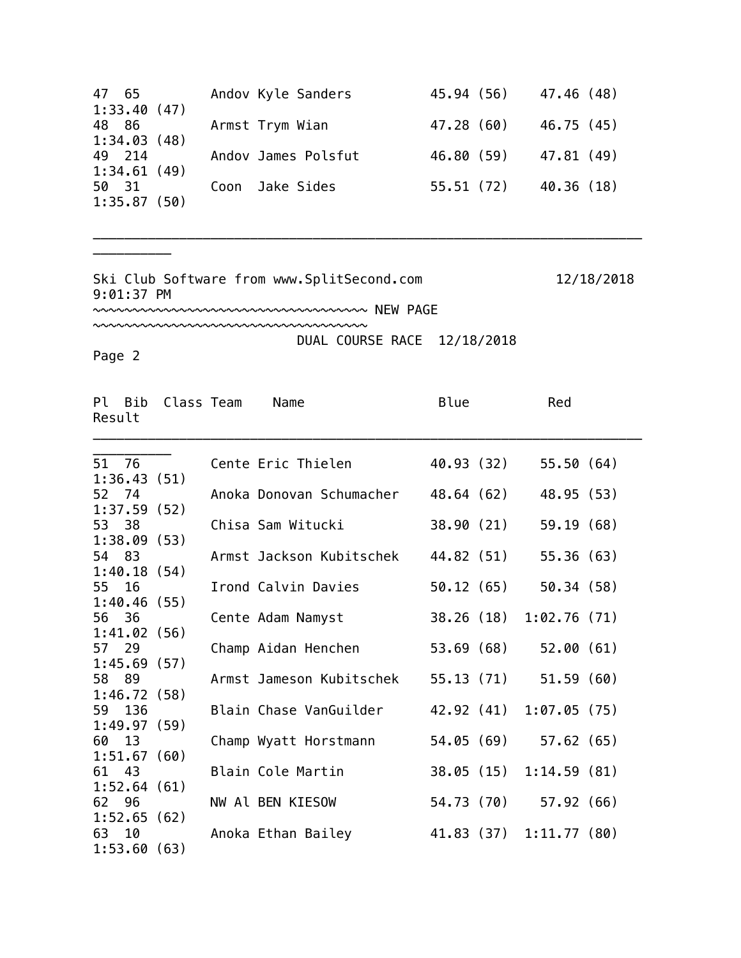| 47 65       | Andov Kyle Sanders  | 45.94 (56) 47.46 (48) |            |
|-------------|---------------------|-----------------------|------------|
| 1:33.40(47) |                     |                       |            |
| 48 86       | Armst Trym Wian     | 47.28 (60)            | 46.75 (45) |
| 1:34.03(48) |                     |                       |            |
| 49 214      | Andov James Polsfut | 46.80 (59)            | 47.81 (49) |
| 1:34.61(49) |                     |                       |            |
| 50 31       | Coon Jake Sides     | 55.51(72)             | 40.36 (18) |
| 1:35.87(50) |                     |                       |            |

\_\_\_\_\_\_\_\_\_\_\_\_\_\_\_\_\_\_\_\_\_\_\_\_\_\_\_\_\_\_\_\_\_\_\_\_\_\_\_\_\_\_\_\_\_\_\_\_\_\_\_\_\_\_\_\_\_\_\_\_\_\_\_\_\_\_\_\_\_\_

Ski Club Software from www.SplitSecond.com 12/18/2018 9:01:37 PM

~~~~~~~~~~~~~~~~~~~~~~~~~~~~~~~~~~~ NEW PAGE

~~~~~~~~~~~~~~~~~~~~~~~~~~~~~~~~~~~

DUAL COURSE RACE 12/18/2018

Page 2

\_\_\_\_\_\_\_\_\_\_

| Result | Pl Bib | Class Team  | Name                     | Blue       | Red                     |  |
|--------|--------|-------------|--------------------------|------------|-------------------------|--|
| 51 76  |        |             | Cente Eric Thielen       | 40.93 (32) | 55.50(64)               |  |
|        |        | 1:36.43(51) |                          |            |                         |  |
| 52 74  |        |             | Anoka Donovan Schumacher | 48.64 (62) | 48.95 (53)              |  |
|        |        | 1:37.59(52) |                          |            |                         |  |
| 53 38  |        |             | Chisa Sam Witucki        | 38.90 (21) | 59.19(68)               |  |
|        |        | 1:38.09(53) |                          |            |                         |  |
| 54 83  |        |             | Armst Jackson Kubitschek | 44.82 (51) | 55.36(63)               |  |
|        |        | 1:40.18(54) |                          |            |                         |  |
| 55 16  |        |             | Irond Calvin Davies      | 50.12 (65) | 50.34 (58)              |  |
|        |        | 1:40.46(55) |                          |            |                         |  |
| 56 36  |        |             | Cente Adam Namyst        | 38.26 (18) | 1:02.76(71)             |  |
|        |        | 1:41.02(56) |                          |            |                         |  |
| 57 29  |        |             | Champ Aidan Henchen      | 53.69 (68) | 52.00(61)               |  |
|        |        | 1:45.69(57) |                          |            |                         |  |
| 58 89  |        |             | Armst Jameson Kubitschek | 55.13 (71) | 51.59(60)               |  |
|        |        | 1:46.72(58) | Blain Chase VanGuilder   |            | 42.92 (41) 1:07.05 (75) |  |
|        | 59 136 | 1:49.97(59) |                          |            |                         |  |
| 60     | 13     |             | Champ Wyatt Horstmann    | 54.05 (69) | 57.62(65)               |  |
|        |        | 1:51.67(60) |                          |            |                         |  |
| 61     | 43     |             | Blain Cole Martin        |            | 38.05 (15) 1:14.59 (81) |  |
|        |        | 1:52.64(61) |                          |            |                         |  |
| 62 96  |        |             | NW Al BEN KIESOW         | 54.73 (70) | 57.92(66)               |  |
|        |        | 1:52.65(62) |                          |            |                         |  |
| 63 10  |        |             | Anoka Ethan Bailey       |            | 41.83 (37) 1:11.77 (80) |  |
|        |        | 1:53.60(63) |                          |            |                         |  |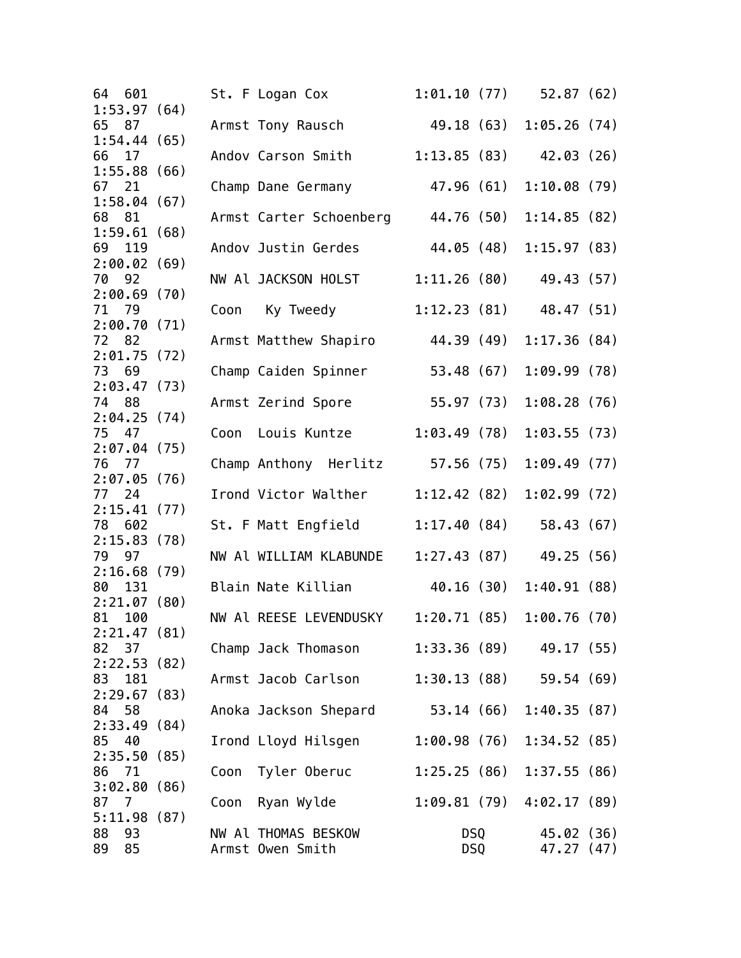| 1:53.97(64)<br>49.18 (63) 1:05.26 (74)<br>65<br>Armst Tony Rausch<br>87<br>1:54.44(65)<br>$1:13.85(83)$ 42.03 (26)<br>66<br>17<br>Andov Carson Smith<br>1:55.88(66)<br>47.96 (61)<br>1:10.08(79)<br>67 21<br>Champ Dane Germany<br>1:58.04(67)<br>44.76 (50)<br>68 81<br>Armst Carter Schoenberg<br>1:14.85(82)<br>1:59.61(68)<br>44.05 (48)<br>1:15.97(83)<br>69<br>119<br>Andov Justin Gerdes<br>2:00.02(69)<br>NW Al JACKSON HOLST 1:11.26 (80)<br>49.43 (57)<br>70 92<br>2:00.69(70)<br>71 79<br>Coon Ky Tweedy<br>$1:12.23(81)$ 48.47 (51)<br>2:00.70(71)<br>72 82<br>44.39 (49)<br>1:17.36(84)<br>Armst Matthew Shapiro<br>2:01.75(72)<br>73 69<br>Champ Caiden Spinner<br>53.48 (67)<br>1:09.99(78)<br>2:03.47(73)<br>Armst Zerind Spore<br>55.97 (73)<br>1:08.28(76)<br>74 88<br>2:04.25(74)<br>75 47<br>1:03.49(78)<br>1:03.55(73)<br>Coon Louis Kuntze<br>2:07.04(75)<br>Champ Anthony Herlitz 57.56 (75)<br>1:09.49(77)<br>76 77<br>2:07.05(76)<br>Irond Victor Walther<br>1:12.42(82)<br>1:02.99(72)<br>77 24<br>2:15.41(77)<br>St. F Matt Engfield<br>1:17.40(84)<br>58.43 (67)<br>78 602<br>2:15.83(78)<br>79<br>97<br>NW Al WILLIAM KLABUNDE<br>$1:27.43(87)$ 49.25 (56)<br>2:16.68(79)<br>131<br>40.16 (30)<br>1:40.91(88)<br>80<br>Blain Nate Killian<br>2:21.07(80)<br>NW Al REESE LEVENDUSKY 1:20.71 (85) 1:00.76 (70)<br>81 100<br>2:21.47(81)<br>$1:33.36(89)$ 49.17 (55)<br>82<br>37<br>Champ Jack Thomason<br>2:22.53(82)<br>83 181<br>Armst Jacob Carlson<br>$1:30.13(88)$ 59.54 (69)<br>2:29.67(83)<br>Anoka Jackson Shepard 53.14 (66)<br>84<br>58<br>1:40.35(87)<br>2:33.49(84)<br>40<br>1:00.98(76)<br>1:34.52(85)<br>85<br>Irond Lloyd Hilsgen<br>2:35.50(85)<br>1:25.25(86)<br>1:37.55(86)<br>86<br>71<br>Coon Tyler Oberuc<br>3:02.80(86)<br>$1:09.81(79)$ $4:02.17(89)$<br>87<br>$\overline{7}$<br>Coon Ryan Wylde<br>5:11.98(87)<br>93<br>NW Al THOMAS BESKOW<br>DSQ<br>45.02 (36)<br>85<br><b>DSQ</b><br>Armst Owen Smith<br>47.27 (47) | 64 601 |  | St. F Logan Cox |  | $1:01.10(77)$ 52.87 (62) |  |
|---------------------------------------------------------------------------------------------------------------------------------------------------------------------------------------------------------------------------------------------------------------------------------------------------------------------------------------------------------------------------------------------------------------------------------------------------------------------------------------------------------------------------------------------------------------------------------------------------------------------------------------------------------------------------------------------------------------------------------------------------------------------------------------------------------------------------------------------------------------------------------------------------------------------------------------------------------------------------------------------------------------------------------------------------------------------------------------------------------------------------------------------------------------------------------------------------------------------------------------------------------------------------------------------------------------------------------------------------------------------------------------------------------------------------------------------------------------------------------------------------------------------------------------------------------------------------------------------------------------------------------------------------------------------------------------------------------------------------------------------------------------------------------------------------------------------------------------------------------------------------------------------------------------------------------------------------------------------------|--------|--|-----------------|--|--------------------------|--|
|                                                                                                                                                                                                                                                                                                                                                                                                                                                                                                                                                                                                                                                                                                                                                                                                                                                                                                                                                                                                                                                                                                                                                                                                                                                                                                                                                                                                                                                                                                                                                                                                                                                                                                                                                                                                                                                                                                                                                                           |        |  |                 |  |                          |  |
|                                                                                                                                                                                                                                                                                                                                                                                                                                                                                                                                                                                                                                                                                                                                                                                                                                                                                                                                                                                                                                                                                                                                                                                                                                                                                                                                                                                                                                                                                                                                                                                                                                                                                                                                                                                                                                                                                                                                                                           |        |  |                 |  |                          |  |
|                                                                                                                                                                                                                                                                                                                                                                                                                                                                                                                                                                                                                                                                                                                                                                                                                                                                                                                                                                                                                                                                                                                                                                                                                                                                                                                                                                                                                                                                                                                                                                                                                                                                                                                                                                                                                                                                                                                                                                           |        |  |                 |  |                          |  |
|                                                                                                                                                                                                                                                                                                                                                                                                                                                                                                                                                                                                                                                                                                                                                                                                                                                                                                                                                                                                                                                                                                                                                                                                                                                                                                                                                                                                                                                                                                                                                                                                                                                                                                                                                                                                                                                                                                                                                                           |        |  |                 |  |                          |  |
|                                                                                                                                                                                                                                                                                                                                                                                                                                                                                                                                                                                                                                                                                                                                                                                                                                                                                                                                                                                                                                                                                                                                                                                                                                                                                                                                                                                                                                                                                                                                                                                                                                                                                                                                                                                                                                                                                                                                                                           |        |  |                 |  |                          |  |
|                                                                                                                                                                                                                                                                                                                                                                                                                                                                                                                                                                                                                                                                                                                                                                                                                                                                                                                                                                                                                                                                                                                                                                                                                                                                                                                                                                                                                                                                                                                                                                                                                                                                                                                                                                                                                                                                                                                                                                           |        |  |                 |  |                          |  |
|                                                                                                                                                                                                                                                                                                                                                                                                                                                                                                                                                                                                                                                                                                                                                                                                                                                                                                                                                                                                                                                                                                                                                                                                                                                                                                                                                                                                                                                                                                                                                                                                                                                                                                                                                                                                                                                                                                                                                                           |        |  |                 |  |                          |  |
|                                                                                                                                                                                                                                                                                                                                                                                                                                                                                                                                                                                                                                                                                                                                                                                                                                                                                                                                                                                                                                                                                                                                                                                                                                                                                                                                                                                                                                                                                                                                                                                                                                                                                                                                                                                                                                                                                                                                                                           |        |  |                 |  |                          |  |
|                                                                                                                                                                                                                                                                                                                                                                                                                                                                                                                                                                                                                                                                                                                                                                                                                                                                                                                                                                                                                                                                                                                                                                                                                                                                                                                                                                                                                                                                                                                                                                                                                                                                                                                                                                                                                                                                                                                                                                           |        |  |                 |  |                          |  |
|                                                                                                                                                                                                                                                                                                                                                                                                                                                                                                                                                                                                                                                                                                                                                                                                                                                                                                                                                                                                                                                                                                                                                                                                                                                                                                                                                                                                                                                                                                                                                                                                                                                                                                                                                                                                                                                                                                                                                                           |        |  |                 |  |                          |  |
|                                                                                                                                                                                                                                                                                                                                                                                                                                                                                                                                                                                                                                                                                                                                                                                                                                                                                                                                                                                                                                                                                                                                                                                                                                                                                                                                                                                                                                                                                                                                                                                                                                                                                                                                                                                                                                                                                                                                                                           |        |  |                 |  |                          |  |
|                                                                                                                                                                                                                                                                                                                                                                                                                                                                                                                                                                                                                                                                                                                                                                                                                                                                                                                                                                                                                                                                                                                                                                                                                                                                                                                                                                                                                                                                                                                                                                                                                                                                                                                                                                                                                                                                                                                                                                           |        |  |                 |  |                          |  |
|                                                                                                                                                                                                                                                                                                                                                                                                                                                                                                                                                                                                                                                                                                                                                                                                                                                                                                                                                                                                                                                                                                                                                                                                                                                                                                                                                                                                                                                                                                                                                                                                                                                                                                                                                                                                                                                                                                                                                                           |        |  |                 |  |                          |  |
|                                                                                                                                                                                                                                                                                                                                                                                                                                                                                                                                                                                                                                                                                                                                                                                                                                                                                                                                                                                                                                                                                                                                                                                                                                                                                                                                                                                                                                                                                                                                                                                                                                                                                                                                                                                                                                                                                                                                                                           |        |  |                 |  |                          |  |
|                                                                                                                                                                                                                                                                                                                                                                                                                                                                                                                                                                                                                                                                                                                                                                                                                                                                                                                                                                                                                                                                                                                                                                                                                                                                                                                                                                                                                                                                                                                                                                                                                                                                                                                                                                                                                                                                                                                                                                           |        |  |                 |  |                          |  |
|                                                                                                                                                                                                                                                                                                                                                                                                                                                                                                                                                                                                                                                                                                                                                                                                                                                                                                                                                                                                                                                                                                                                                                                                                                                                                                                                                                                                                                                                                                                                                                                                                                                                                                                                                                                                                                                                                                                                                                           |        |  |                 |  |                          |  |
|                                                                                                                                                                                                                                                                                                                                                                                                                                                                                                                                                                                                                                                                                                                                                                                                                                                                                                                                                                                                                                                                                                                                                                                                                                                                                                                                                                                                                                                                                                                                                                                                                                                                                                                                                                                                                                                                                                                                                                           |        |  |                 |  |                          |  |
|                                                                                                                                                                                                                                                                                                                                                                                                                                                                                                                                                                                                                                                                                                                                                                                                                                                                                                                                                                                                                                                                                                                                                                                                                                                                                                                                                                                                                                                                                                                                                                                                                                                                                                                                                                                                                                                                                                                                                                           |        |  |                 |  |                          |  |
|                                                                                                                                                                                                                                                                                                                                                                                                                                                                                                                                                                                                                                                                                                                                                                                                                                                                                                                                                                                                                                                                                                                                                                                                                                                                                                                                                                                                                                                                                                                                                                                                                                                                                                                                                                                                                                                                                                                                                                           |        |  |                 |  |                          |  |
|                                                                                                                                                                                                                                                                                                                                                                                                                                                                                                                                                                                                                                                                                                                                                                                                                                                                                                                                                                                                                                                                                                                                                                                                                                                                                                                                                                                                                                                                                                                                                                                                                                                                                                                                                                                                                                                                                                                                                                           |        |  |                 |  |                          |  |
|                                                                                                                                                                                                                                                                                                                                                                                                                                                                                                                                                                                                                                                                                                                                                                                                                                                                                                                                                                                                                                                                                                                                                                                                                                                                                                                                                                                                                                                                                                                                                                                                                                                                                                                                                                                                                                                                                                                                                                           |        |  |                 |  |                          |  |
|                                                                                                                                                                                                                                                                                                                                                                                                                                                                                                                                                                                                                                                                                                                                                                                                                                                                                                                                                                                                                                                                                                                                                                                                                                                                                                                                                                                                                                                                                                                                                                                                                                                                                                                                                                                                                                                                                                                                                                           |        |  |                 |  |                          |  |
|                                                                                                                                                                                                                                                                                                                                                                                                                                                                                                                                                                                                                                                                                                                                                                                                                                                                                                                                                                                                                                                                                                                                                                                                                                                                                                                                                                                                                                                                                                                                                                                                                                                                                                                                                                                                                                                                                                                                                                           |        |  |                 |  |                          |  |
|                                                                                                                                                                                                                                                                                                                                                                                                                                                                                                                                                                                                                                                                                                                                                                                                                                                                                                                                                                                                                                                                                                                                                                                                                                                                                                                                                                                                                                                                                                                                                                                                                                                                                                                                                                                                                                                                                                                                                                           |        |  |                 |  |                          |  |
|                                                                                                                                                                                                                                                                                                                                                                                                                                                                                                                                                                                                                                                                                                                                                                                                                                                                                                                                                                                                                                                                                                                                                                                                                                                                                                                                                                                                                                                                                                                                                                                                                                                                                                                                                                                                                                                                                                                                                                           |        |  |                 |  |                          |  |
|                                                                                                                                                                                                                                                                                                                                                                                                                                                                                                                                                                                                                                                                                                                                                                                                                                                                                                                                                                                                                                                                                                                                                                                                                                                                                                                                                                                                                                                                                                                                                                                                                                                                                                                                                                                                                                                                                                                                                                           |        |  |                 |  |                          |  |
|                                                                                                                                                                                                                                                                                                                                                                                                                                                                                                                                                                                                                                                                                                                                                                                                                                                                                                                                                                                                                                                                                                                                                                                                                                                                                                                                                                                                                                                                                                                                                                                                                                                                                                                                                                                                                                                                                                                                                                           |        |  |                 |  |                          |  |
|                                                                                                                                                                                                                                                                                                                                                                                                                                                                                                                                                                                                                                                                                                                                                                                                                                                                                                                                                                                                                                                                                                                                                                                                                                                                                                                                                                                                                                                                                                                                                                                                                                                                                                                                                                                                                                                                                                                                                                           |        |  |                 |  |                          |  |
|                                                                                                                                                                                                                                                                                                                                                                                                                                                                                                                                                                                                                                                                                                                                                                                                                                                                                                                                                                                                                                                                                                                                                                                                                                                                                                                                                                                                                                                                                                                                                                                                                                                                                                                                                                                                                                                                                                                                                                           |        |  |                 |  |                          |  |
|                                                                                                                                                                                                                                                                                                                                                                                                                                                                                                                                                                                                                                                                                                                                                                                                                                                                                                                                                                                                                                                                                                                                                                                                                                                                                                                                                                                                                                                                                                                                                                                                                                                                                                                                                                                                                                                                                                                                                                           |        |  |                 |  |                          |  |
|                                                                                                                                                                                                                                                                                                                                                                                                                                                                                                                                                                                                                                                                                                                                                                                                                                                                                                                                                                                                                                                                                                                                                                                                                                                                                                                                                                                                                                                                                                                                                                                                                                                                                                                                                                                                                                                                                                                                                                           |        |  |                 |  |                          |  |
|                                                                                                                                                                                                                                                                                                                                                                                                                                                                                                                                                                                                                                                                                                                                                                                                                                                                                                                                                                                                                                                                                                                                                                                                                                                                                                                                                                                                                                                                                                                                                                                                                                                                                                                                                                                                                                                                                                                                                                           |        |  |                 |  |                          |  |
|                                                                                                                                                                                                                                                                                                                                                                                                                                                                                                                                                                                                                                                                                                                                                                                                                                                                                                                                                                                                                                                                                                                                                                                                                                                                                                                                                                                                                                                                                                                                                                                                                                                                                                                                                                                                                                                                                                                                                                           |        |  |                 |  |                          |  |
|                                                                                                                                                                                                                                                                                                                                                                                                                                                                                                                                                                                                                                                                                                                                                                                                                                                                                                                                                                                                                                                                                                                                                                                                                                                                                                                                                                                                                                                                                                                                                                                                                                                                                                                                                                                                                                                                                                                                                                           |        |  |                 |  |                          |  |
|                                                                                                                                                                                                                                                                                                                                                                                                                                                                                                                                                                                                                                                                                                                                                                                                                                                                                                                                                                                                                                                                                                                                                                                                                                                                                                                                                                                                                                                                                                                                                                                                                                                                                                                                                                                                                                                                                                                                                                           |        |  |                 |  |                          |  |
|                                                                                                                                                                                                                                                                                                                                                                                                                                                                                                                                                                                                                                                                                                                                                                                                                                                                                                                                                                                                                                                                                                                                                                                                                                                                                                                                                                                                                                                                                                                                                                                                                                                                                                                                                                                                                                                                                                                                                                           |        |  |                 |  |                          |  |
|                                                                                                                                                                                                                                                                                                                                                                                                                                                                                                                                                                                                                                                                                                                                                                                                                                                                                                                                                                                                                                                                                                                                                                                                                                                                                                                                                                                                                                                                                                                                                                                                                                                                                                                                                                                                                                                                                                                                                                           |        |  |                 |  |                          |  |
|                                                                                                                                                                                                                                                                                                                                                                                                                                                                                                                                                                                                                                                                                                                                                                                                                                                                                                                                                                                                                                                                                                                                                                                                                                                                                                                                                                                                                                                                                                                                                                                                                                                                                                                                                                                                                                                                                                                                                                           |        |  |                 |  |                          |  |
|                                                                                                                                                                                                                                                                                                                                                                                                                                                                                                                                                                                                                                                                                                                                                                                                                                                                                                                                                                                                                                                                                                                                                                                                                                                                                                                                                                                                                                                                                                                                                                                                                                                                                                                                                                                                                                                                                                                                                                           |        |  |                 |  |                          |  |
|                                                                                                                                                                                                                                                                                                                                                                                                                                                                                                                                                                                                                                                                                                                                                                                                                                                                                                                                                                                                                                                                                                                                                                                                                                                                                                                                                                                                                                                                                                                                                                                                                                                                                                                                                                                                                                                                                                                                                                           |        |  |                 |  |                          |  |
|                                                                                                                                                                                                                                                                                                                                                                                                                                                                                                                                                                                                                                                                                                                                                                                                                                                                                                                                                                                                                                                                                                                                                                                                                                                                                                                                                                                                                                                                                                                                                                                                                                                                                                                                                                                                                                                                                                                                                                           |        |  |                 |  |                          |  |
|                                                                                                                                                                                                                                                                                                                                                                                                                                                                                                                                                                                                                                                                                                                                                                                                                                                                                                                                                                                                                                                                                                                                                                                                                                                                                                                                                                                                                                                                                                                                                                                                                                                                                                                                                                                                                                                                                                                                                                           |        |  |                 |  |                          |  |
|                                                                                                                                                                                                                                                                                                                                                                                                                                                                                                                                                                                                                                                                                                                                                                                                                                                                                                                                                                                                                                                                                                                                                                                                                                                                                                                                                                                                                                                                                                                                                                                                                                                                                                                                                                                                                                                                                                                                                                           |        |  |                 |  |                          |  |
|                                                                                                                                                                                                                                                                                                                                                                                                                                                                                                                                                                                                                                                                                                                                                                                                                                                                                                                                                                                                                                                                                                                                                                                                                                                                                                                                                                                                                                                                                                                                                                                                                                                                                                                                                                                                                                                                                                                                                                           |        |  |                 |  |                          |  |
|                                                                                                                                                                                                                                                                                                                                                                                                                                                                                                                                                                                                                                                                                                                                                                                                                                                                                                                                                                                                                                                                                                                                                                                                                                                                                                                                                                                                                                                                                                                                                                                                                                                                                                                                                                                                                                                                                                                                                                           |        |  |                 |  |                          |  |
|                                                                                                                                                                                                                                                                                                                                                                                                                                                                                                                                                                                                                                                                                                                                                                                                                                                                                                                                                                                                                                                                                                                                                                                                                                                                                                                                                                                                                                                                                                                                                                                                                                                                                                                                                                                                                                                                                                                                                                           |        |  |                 |  |                          |  |
|                                                                                                                                                                                                                                                                                                                                                                                                                                                                                                                                                                                                                                                                                                                                                                                                                                                                                                                                                                                                                                                                                                                                                                                                                                                                                                                                                                                                                                                                                                                                                                                                                                                                                                                                                                                                                                                                                                                                                                           | 88     |  |                 |  |                          |  |
|                                                                                                                                                                                                                                                                                                                                                                                                                                                                                                                                                                                                                                                                                                                                                                                                                                                                                                                                                                                                                                                                                                                                                                                                                                                                                                                                                                                                                                                                                                                                                                                                                                                                                                                                                                                                                                                                                                                                                                           | 89     |  |                 |  |                          |  |